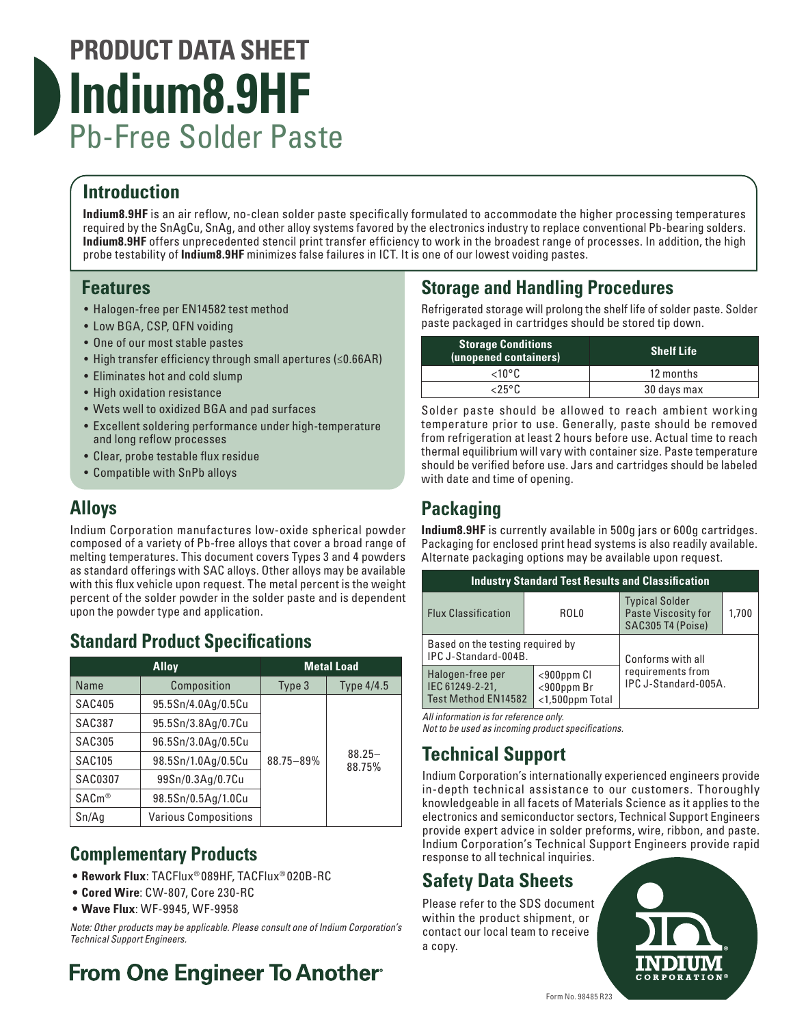# **PRODUCT DATA SHEET Indium8.9HF** Pb-Free Solder Paste

# **Introduction**

**Indium8.9HF** is an air reflow, no-clean solder paste specifically formulated to accommodate the higher processing temperatures required by the SnAgCu, SnAg, and other alloy systems favored by the electronics industry to replace conventional Pb-bearing solders. **Indium8.9HF** offers unprecedented stencil print transfer efficiency to work in the broadest range of processes. In addition, the high probe testability of **Indium8.9HF** minimizes false failures in ICT. It is one of our lowest voiding pastes.

### **Features**

- Halogen-free per EN14582 test method
- Low BGA, CSP, QFN voiding
- One of our most stable pastes
- High transfer efficiency through small apertures (≤0.66AR)
- Eliminates hot and cold slump
- High oxidation resistance
- Wets well to oxidized BGA and pad surfaces
- Excellent soldering performance under high-temperature and long reflow processes
- Clear, probe testable flux residue
- Compatible with SnPb alloys

# **Alloys**

Indium Corporation manufactures low-oxide spherical powder composed of a variety of Pb-free alloys that cover a broad range of melting temperatures. This document covers Types 3 and 4 powders as standard offerings with SAC alloys. Other alloys may be available with this flux vehicle upon request. The metal percent is the weight percent of the solder powder in the solder paste and is dependent upon the powder type and application.

# **Standard Product Specifications**

| <b>Alloy</b>   |                             | <b>Metal Load</b> |                     |
|----------------|-----------------------------|-------------------|---------------------|
| Name           | Composition                 | Type 3            | <b>Type 4/4.5</b>   |
| <b>SAC405</b>  | 95.5Sn/4.0Ag/0.5Cu          |                   |                     |
| SAC387         | 95.5Sn/3.8Ag/0.7Cu          |                   |                     |
| SAC305         | 96.5Sn/3.0Ag/0.5Cu          |                   |                     |
| <b>SAC105</b>  | 98.5Sn/1.0Ag/0.5Cu          | 88.75-89%         | $88.25 -$<br>88.75% |
| <b>SAC0307</b> | 99Sn/0.3Ag/0.7Cu            |                   |                     |
| $SACm^@$       | 98.5Sn/0.5Ag/1.0Cu          |                   |                     |
| Sn/Ag          | <b>Various Compositions</b> |                   |                     |

# **Complementary Products**

- **• Rework Flux**: TACFlux® 089HF, TACFlux® 020B-RC
- **• Cored Wire**: CW-807, Core 230-RC
- **• Wave Flux**: WF-9945, WF-9958

*Note: Other products may be applicable. Please consult one of Indium Corporation's Technical Support Engineers.*

# **From One Engineer To Another**

# **Storage and Handling Procedures**

Refrigerated storage will prolong the shelf life of solder paste. Solder paste packaged in cartridges should be stored tip down.

| <b>Storage Conditions</b><br>(unopened containers) | <b>Shelf Life</b> |  |
|----------------------------------------------------|-------------------|--|
| <10°C                                              | 12 months         |  |
| <25°C                                              | 30 days max       |  |

Solder paste should be allowed to reach ambient working temperature prior to use. Generally, paste should be removed from refrigeration at least 2 hours before use. Actual time to reach thermal equilibrium will vary with container size. Paste temperature should be verified before use. Jars and cartridges should be labeled with date and time of opening.

# **Packaging**

**Indium8.9HF** is currently available in 500g jars or 600g cartridges. Packaging for enclosed print head systems is also readily available. Alternate packaging options may be available upon request.

| <b>Industry Standard Test Results and Classification</b>   |                                                     |                                                                   |       |  |  |  |  |
|------------------------------------------------------------|-----------------------------------------------------|-------------------------------------------------------------------|-------|--|--|--|--|
| <b>Flux Classification</b>                                 | ROL0                                                | <b>Typical Solder</b><br>Paste Viscosity for<br>SAC305 T4 (Poise) | 1.700 |  |  |  |  |
| Based on the testing required by<br>IPC J-Standard-004B.   | Conforms with all                                   |                                                                   |       |  |  |  |  |
| Halogen-free per<br>IEC 61249-2-21,<br>Test Method EN14582 | $<$ 900ppm $Cl$<br>$<$ 900ppm Br<br><1,500ppm Total | requirements from<br>IPC J-Standard-005A.                         |       |  |  |  |  |

*All information is for reference only.* 

*Not to be used as incoming product specifications.*

# **Technical Support**

Indium Corporation's internationally experienced engineers provide in-depth technical assistance to our customers. Thoroughly knowledgeable in all facets of Materials Science as it applies to the electronics and semiconductor sectors, Technical Support Engineers provide expert advice in solder preforms, wire, ribbon, and paste. Indium Corporation's Technical Support Engineers provide rapid response to all technical inquiries.

# **Safety Data Sheets**

Please refer to the SDS document within the product shipment, or contact our local team to receive a copy.